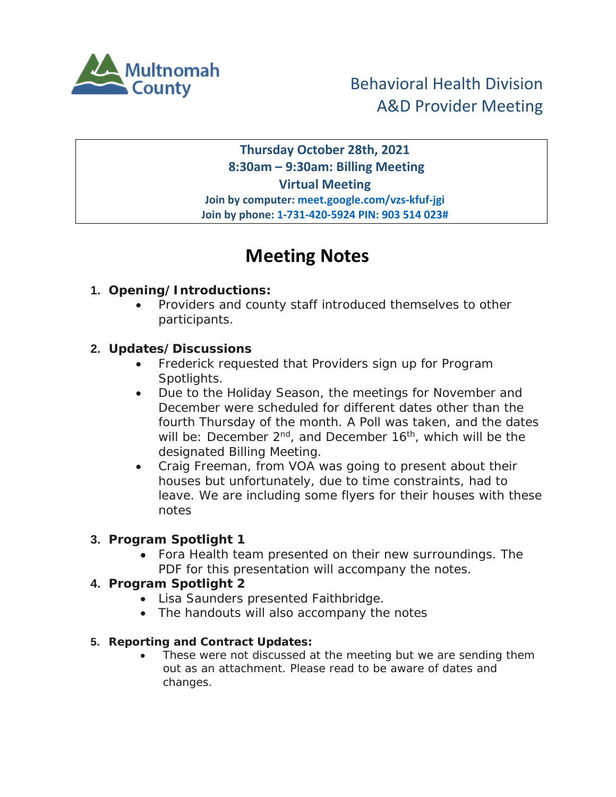

## **Thursday October 28th, 2021 8:30am – 9:30am: Billing Meeting Virtual Meeting Join by computer: meet.google.com/vzs-kfuf-jgi Join by phone: 1-731-420-5924 PIN: 903 514 023#**

# **Meeting Notes**

## **1. Opening/Introductions:**

• Providers and county staff introduced themselves to other participants.

### **2. Updates/Discussions**

- Frederick requested that Providers sign up for Program Spotlights.
- Due to the Holiday Season, the meetings for November and December were scheduled for different dates other than the fourth Thursday of the month. A Poll was taken, and the dates will be: December 2<sup>nd</sup>, and December 16<sup>th</sup>, which will be the designated Billing Meeting.
- Craig Freeman, from VOA was going to present about their houses but unfortunately, due to time constraints, had to leave. We are including some flyers for their houses with these notes

### **3. Program Spotlight 1**

• Fora Health team presented on their new surroundings. The PDF for this presentation will accompany the notes.

### **4. Program Spotlight 2**

- Lisa Saunders presented Faithbridge.
- The handouts will also accompany the notes

#### **5. Reporting and Contract Updates:**

These were not discussed at the meeting but we are sending them out as an attachment. Please read to be aware of dates and changes.